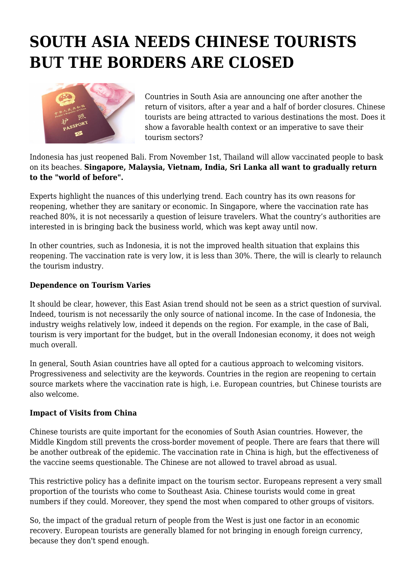## **SOUTH ASIA NEEDS CHINESE TOURISTS BUT THE BORDERS ARE CLOSED**



Countries in South Asia are announcing one after another the return of visitors, after a year and a half of border closures. Chinese tourists are being attracted to various destinations the most. Does it show a favorable health context or an imperative to save their tourism sectors?

Indonesia has just reopened Bali. From November 1st, Thailand will allow vaccinated people to bask on its beaches. **Singapore, Malaysia, Vietnam, India, Sri Lanka all want to gradually return to the "world of before".**

Experts highlight the nuances of this underlying trend. Each country has its own reasons for reopening, whether they are sanitary or economic. In Singapore, where the vaccination rate has reached 80%, it is not necessarily a question of leisure travelers. What the country's authorities are interested in is bringing back the business world, which was kept away until now.

In other countries, such as Indonesia, it is not the improved health situation that explains this reopening. The vaccination rate is very low, it is less than 30%. There, the will is clearly to relaunch the tourism industry.

## **Dependence on Tourism Varies**

It should be clear, however, this East Asian trend should not be seen as a strict question of survival. Indeed, tourism is not necessarily the only source of national income. In the case of Indonesia, the industry weighs relatively low, indeed it depends on the region. For example, in the case of Bali, tourism is very important for the budget, but in the overall Indonesian economy, it does not weigh much overall.

In general, South Asian countries have all opted for a cautious approach to welcoming visitors. Progressiveness and selectivity are the keywords. Countries in the region are reopening to certain source markets where the vaccination rate is high, i.e. European countries, but Chinese tourists are also welcome.

## **Impact of Visits from China**

Chinese tourists are quite important for the economies of South Asian countries. However, the Middle Kingdom still prevents the cross-border movement of people. There are fears that there will be another outbreak of the epidemic. The vaccination rate in China is high, but the effectiveness of the vaccine seems questionable. The Chinese are not allowed to travel abroad as usual.

This restrictive policy has a definite impact on the tourism sector. Europeans represent a very small proportion of the tourists who come to Southeast Asia. Chinese tourists would come in great numbers if they could. Moreover, they spend the most when compared to other groups of visitors.

So, the impact of the gradual return of people from the West is just one factor in an economic recovery. European tourists are generally blamed for not bringing in enough foreign currency, because they don't spend enough.